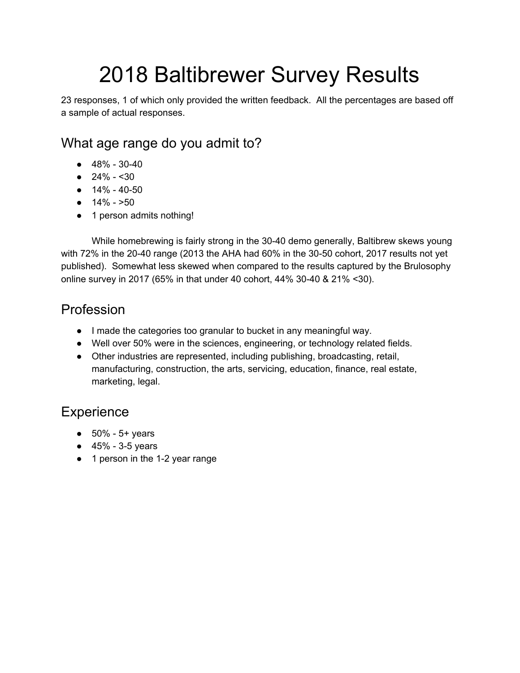# 2018 Baltibrewer Survey Results

23 responses, 1 of which only provided the written feedback. All the percentages are based off a sample of actual responses.

# What age range do you admit to?

- 48% 30-40
- $\bullet$  24% <30
- $14\% 40-50$
- $\bullet$  14% >50
- 1 person admits nothing!

While homebrewing is fairly strong in the 30-40 demo generally, Baltibrew skews young with 72% in the 20-40 range (2013 the AHA had 60% in the 30-50 cohort, 2017 results not yet published). Somewhat less skewed when compared to the results captured by the Brulosophy online survey in 2017 (65% in that under 40 cohort, 44% 30-40 & 21% <30).

## Profession

- I made the categories too granular to bucket in any meaningful way.
- Well over 50% were in the sciences, engineering, or technology related fields.
- Other industries are represented, including publishing, broadcasting, retail, manufacturing, construction, the arts, servicing, education, finance, real estate, marketing, legal.

## **Experience**

- $50\% 5+ \text{ years}$
- $-45% 3-5$  years
- 1 person in the 1-2 year range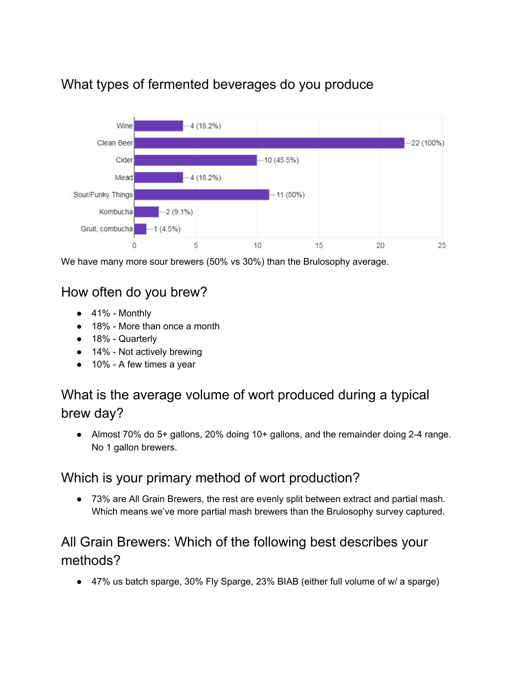

# What types of fermented beverages do you produce

We have many more sour brewers (50% vs 30%) than the Brulosophy average.

# How often do you brew?

- $\bullet$  41% Monthly
- 18% More than once a month
- 18% Quarterly
- 14% Not actively brewing
- 10% A few times a year

# What is the average volume of wort produced during a typical brew day?

● Almost 70% do 5+ gallons, 20% doing 10+ gallons, and the remainder doing 2-4 range. No 1 gallon brewers.

#### Which is your primary method of wort production?

● 73% are All Grain Brewers, the rest are evenly split between extract and partial mash. Which means we've more partial mash brewers than the Brulosophy survey captured.

# All Grain Brewers: Which of the following best describes your methods?

● 47% us batch sparge, 30% Fly Sparge, 23% BIAB (either full volume of w/ a sparge)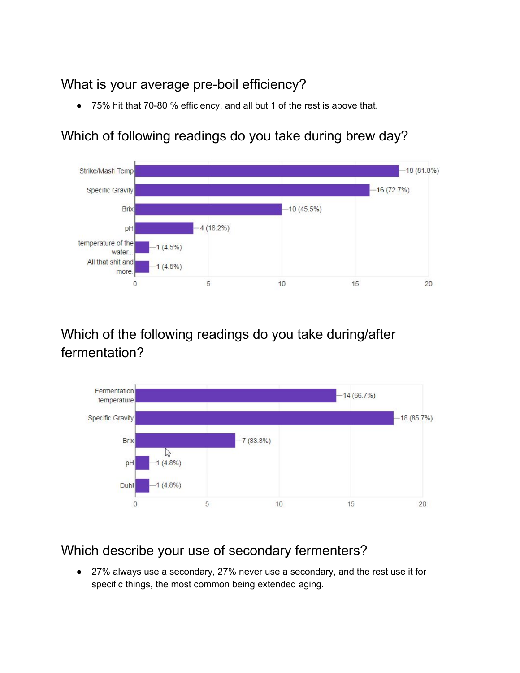# What is your average pre-boil efficiency?

● 75% hit that 70-80 % efficiency, and all but 1 of the rest is above that.

### Which of following readings do you take during brew day?



# Which of the following readings do you take during/after fermentation?



## Which describe your use of secondary fermenters?

● 27% always use a secondary, 27% never use a secondary, and the rest use it for specific things, the most common being extended aging.